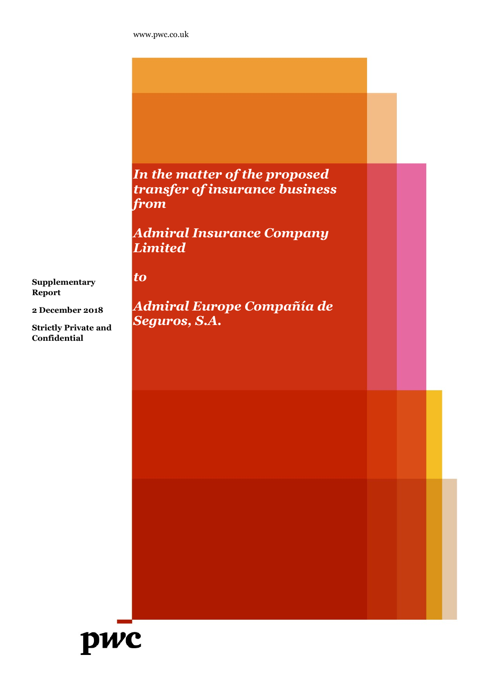to

In the matter of the proposed transfer of insurance business from

Admiral Insurance Company Limited

**Supplementary** Report

2 December 2018

Strictly Private and Confidential

Admiral Europe Compañía de Seguros, S.A.

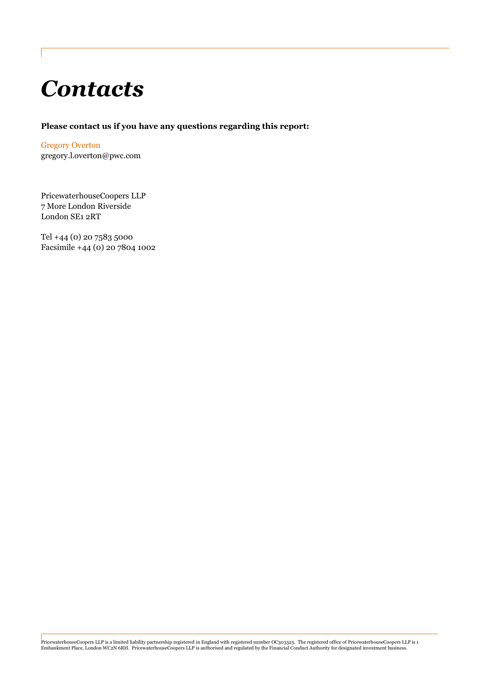# **Contacts**

#### Please contact us if you have any questions regarding this report:

Gregory Overton gregory.l.overton@pwc.com

PricewaterhouseCoopers LLP 7 More London Riverside London SE1 2RT

Tel +44 (0) 20 7583 5000 Facsimile +44 (0) 20 7804 1002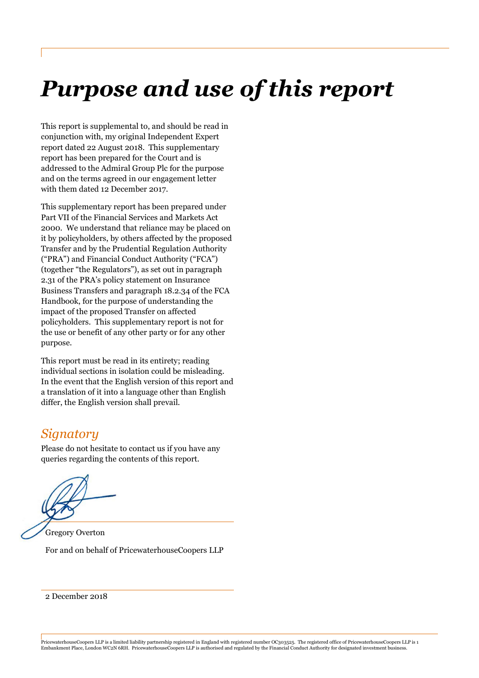# Purpose and use of this report

This report is supplemental to, and should be read in conjunction with, my original Independent Expert report dated 22 August 2018. This supplementary report has been prepared for the Court and is addressed to the Admiral Group Plc for the purpose and on the terms agreed in our engagement letter with them dated 12 December 2017.

This supplementary report has been prepared under Part VII of the Financial Services and Markets Act 2000. We understand that reliance may be placed on it by policyholders, by others affected by the proposed Transfer and by the Prudential Regulation Authority ("PRA") and Financial Conduct Authority ("FCA") (together "the Regulators"), as set out in paragraph 2.31 of the PRA's policy statement on Insurance Business Transfers and paragraph 18.2.34 of the FCA Handbook, for the purpose of understanding the impact of the proposed Transfer on affected policyholders. This supplementary report is not for the use or benefit of any other party or for any other purpose.

This report must be read in its entirety; reading individual sections in isolation could be misleading. In the event that the English version of this report and a translation of it into a language other than English differ, the English version shall prevail.

# **Signatory**

Please do not hesitate to contact us if you have any queries regarding the contents of this report.

Gregory Overton For and on behalf of PricewaterhouseCoopers LLP

2 December 2018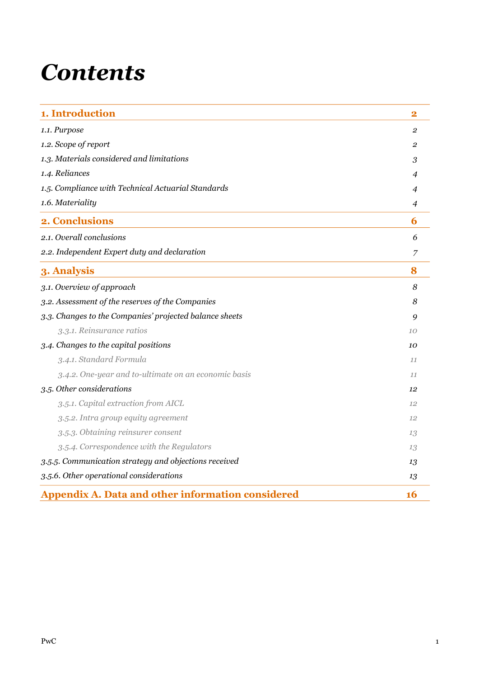# **Contents**

| 1. Introduction                                          | $\bf{2}$       |
|----------------------------------------------------------|----------------|
| 1.1. Purpose                                             | $\overline{2}$ |
| 1.2. Scope of report                                     | 2              |
| 1.3. Materials considered and limitations                | 3              |
| 1.4. Reliances                                           | 4              |
| 1.5. Compliance with Technical Actuarial Standards       | 4              |
| 1.6. Materiality                                         | 4              |
| 2. Conclusions                                           | 6              |
| 2.1. Overall conclusions                                 | 6              |
| 2.2. Independent Expert duty and declaration             | 7              |
| 3. Analysis                                              | 8              |
| 3.1. Overview of approach                                | 8              |
| 3.2. Assessment of the reserves of the Companies         | 8              |
| 3.3. Changes to the Companies' projected balance sheets  | 9              |
| 3.3.1. Reinsurance ratios                                | 10             |
| 3.4. Changes to the capital positions                    | 10             |
| 3.4.1. Standard Formula                                  | 11             |
| 3.4.2. One-year and to-ultimate on an economic basis     | 11             |
| 3.5. Other considerations                                | 12             |
| 3.5.1. Capital extraction from AICL                      | 12             |
| 3.5.2. Intra group equity agreement                      | 12             |
| 3.5.3. Obtaining reinsurer consent                       | 13             |
| 3.5.4. Correspondence with the Regulators                | 13             |
| 3.5.5. Communication strategy and objections received    | 13             |
| 3.5.6. Other operational considerations                  | 13             |
| <b>Appendix A. Data and other information considered</b> | <b>16</b>      |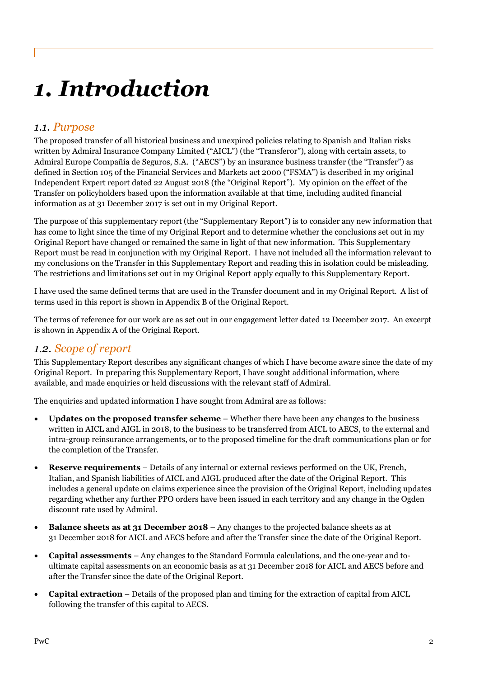# 1. Introduction

### 1.1. Purpose

The proposed transfer of all historical business and unexpired policies relating to Spanish and Italian risks written by Admiral Insurance Company Limited ("AICL") (the "Transferor"), along with certain assets, to Admiral Europe Compañía de Seguros, S.A. ("AECS") by an insurance business transfer (the "Transfer") as defined in Section 105 of the Financial Services and Markets act 2000 ("FSMA") is described in my original Independent Expert report dated 22 August 2018 (the "Original Report"). My opinion on the effect of the Transfer on policyholders based upon the information available at that time, including audited financial information as at 31 December 2017 is set out in my Original Report.

The purpose of this supplementary report (the "Supplementary Report") is to consider any new information that has come to light since the time of my Original Report and to determine whether the conclusions set out in my Original Report have changed or remained the same in light of that new information. This Supplementary Report must be read in conjunction with my Original Report. I have not included all the information relevant to my conclusions on the Transfer in this Supplementary Report and reading this in isolation could be misleading. The restrictions and limitations set out in my Original Report apply equally to this Supplementary Report.

I have used the same defined terms that are used in the Transfer document and in my Original Report. A list of terms used in this report is shown in Appendix B of the Original Report.

The terms of reference for our work are as set out in our engagement letter dated 12 December 2017. An excerpt is shown in Appendix A of the Original Report.

## 1.2. Scope of report

This Supplementary Report describes any significant changes of which I have become aware since the date of my Original Report. In preparing this Supplementary Report, I have sought additional information, where available, and made enquiries or held discussions with the relevant staff of Admiral.

The enquiries and updated information I have sought from Admiral are as follows:

- Updates on the proposed transfer scheme Whether there have been any changes to the business written in AICL and AIGL in 2018, to the business to be transferred from AICL to AECS, to the external and intra-group reinsurance arrangements, or to the proposed timeline for the draft communications plan or for the completion of the Transfer.
- Reserve requirements Details of any internal or external reviews performed on the UK, French, Italian, and Spanish liabilities of AICL and AIGL produced after the date of the Original Report. This includes a general update on claims experience since the provision of the Original Report, including updates regarding whether any further PPO orders have been issued in each territory and any change in the Ogden discount rate used by Admiral.
- Balance sheets as at 31 December 2018 Any changes to the projected balance sheets as at 31 December 2018 for AICL and AECS before and after the Transfer since the date of the Original Report.
- Capital assessments Any changes to the Standard Formula calculations, and the one-year and toultimate capital assessments on an economic basis as at 31 December 2018 for AICL and AECS before and after the Transfer since the date of the Original Report.
- Capital extraction Details of the proposed plan and timing for the extraction of capital from AICL following the transfer of this capital to AECS.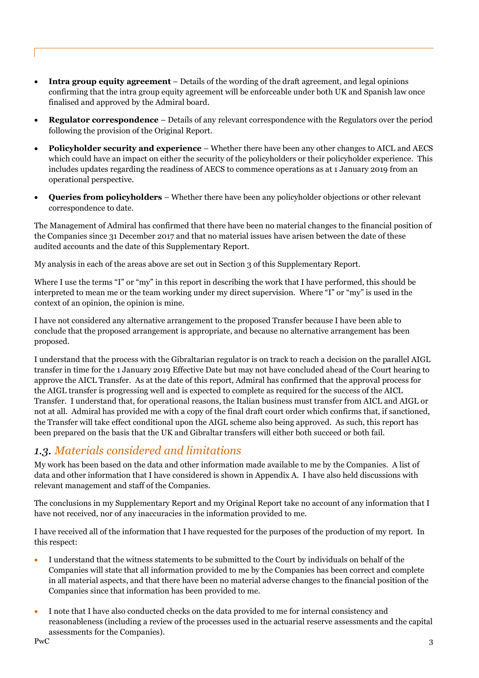- Intra group equity agreement Details of the wording of the draft agreement, and legal opinions confirming that the intra group equity agreement will be enforceable under both UK and Spanish law once finalised and approved by the Admiral board.
- Regulator correspondence Details of any relevant correspondence with the Regulators over the period following the provision of the Original Report.
- Policyholder security and experience Whether there have been any other changes to AICL and AECS which could have an impact on either the security of the policyholders or their policyholder experience. This includes updates regarding the readiness of AECS to commence operations as at 1 January 2019 from an operational perspective.
- Queries from policyholders Whether there have been any policyholder objections or other relevant correspondence to date.

The Management of Admiral has confirmed that there have been no material changes to the financial position of the Companies since 31 December 2017 and that no material issues have arisen between the date of these audited accounts and the date of this Supplementary Report.

My analysis in each of the areas above are set out in Section 3 of this Supplementary Report.

Where I use the terms "I" or "my" in this report in describing the work that I have performed, this should be interpreted to mean me or the team working under my direct supervision. Where "I" or "my" is used in the context of an opinion, the opinion is mine.

I have not considered any alternative arrangement to the proposed Transfer because I have been able to conclude that the proposed arrangement is appropriate, and because no alternative arrangement has been proposed.

I understand that the process with the Gibraltarian regulator is on track to reach a decision on the parallel AIGL transfer in time for the 1 January 2019 Effective Date but may not have concluded ahead of the Court hearing to approve the AICL Transfer. As at the date of this report, Admiral has confirmed that the approval process for the AIGL transfer is progressing well and is expected to complete as required for the success of the AICL Transfer. I understand that, for operational reasons, the Italian business must transfer from AICL and AIGL or not at all. Admiral has provided me with a copy of the final draft court order which confirms that, if sanctioned, the Transfer will take effect conditional upon the AIGL scheme also being approved. As such, this report has been prepared on the basis that the UK and Gibraltar transfers will either both succeed or both fail.

## 1.3. Materials considered and limitations

My work has been based on the data and other information made available to me by the Companies. A list of data and other information that I have considered is shown in Appendix A. I have also held discussions with relevant management and staff of the Companies.

The conclusions in my Supplementary Report and my Original Report take no account of any information that I have not received, nor of any inaccuracies in the information provided to me.

I have received all of the information that I have requested for the purposes of the production of my report. In this respect:

- I understand that the witness statements to be submitted to the Court by individuals on behalf of the Companies will state that all information provided to me by the Companies has been correct and complete in all material aspects, and that there have been no material adverse changes to the financial position of the Companies since that information has been provided to me.
- $PwC$  3 I note that I have also conducted checks on the data provided to me for internal consistency and reasonableness (including a review of the processes used in the actuarial reserve assessments and the capital assessments for the Companies). PwC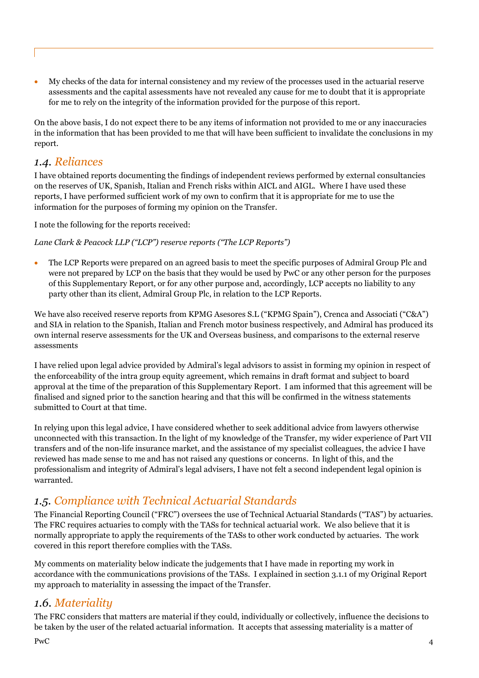My checks of the data for internal consistency and my review of the processes used in the actuarial reserve assessments and the capital assessments have not revealed any cause for me to doubt that it is appropriate for me to rely on the integrity of the information provided for the purpose of this report.

On the above basis, I do not expect there to be any items of information not provided to me or any inaccuracies in the information that has been provided to me that will have been sufficient to invalidate the conclusions in my report.

#### 1.4. Reliances

I have obtained reports documenting the findings of independent reviews performed by external consultancies on the reserves of UK, Spanish, Italian and French risks within AICL and AIGL. Where I have used these reports, I have performed sufficient work of my own to confirm that it is appropriate for me to use the information for the purposes of forming my opinion on the Transfer.

I note the following for the reports received:

Lane Clark & Peacock LLP ("LCP") reserve reports ("The LCP Reports")

 The LCP Reports were prepared on an agreed basis to meet the specific purposes of Admiral Group Plc and were not prepared by LCP on the basis that they would be used by PwC or any other person for the purposes of this Supplementary Report, or for any other purpose and, accordingly, LCP accepts no liability to any party other than its client, Admiral Group Plc, in relation to the LCP Reports.

We have also received reserve reports from KPMG Asesores S.L ("KPMG Spain"), Crenca and Associati ("C&A") and SIA in relation to the Spanish, Italian and French motor business respectively, and Admiral has produced its own internal reserve assessments for the UK and Overseas business, and comparisons to the external reserve assessments

I have relied upon legal advice provided by Admiral's legal advisors to assist in forming my opinion in respect of the enforceability of the intra group equity agreement, which remains in draft format and subject to board approval at the time of the preparation of this Supplementary Report. I am informed that this agreement will be finalised and signed prior to the sanction hearing and that this will be confirmed in the witness statements submitted to Court at that time.

In relying upon this legal advice, I have considered whether to seek additional advice from lawyers otherwise unconnected with this transaction. In the light of my knowledge of the Transfer, my wider experience of Part VII transfers and of the non-life insurance market, and the assistance of my specialist colleagues, the advice I have reviewed has made sense to me and has not raised any questions or concerns. In light of this, and the professionalism and integrity of Admiral's legal advisers, I have not felt a second independent legal opinion is warranted.

# 1.5. Compliance with Technical Actuarial Standards

The Financial Reporting Council ("FRC") oversees the use of Technical Actuarial Standards ("TAS") by actuaries. The FRC requires actuaries to comply with the TASs for technical actuarial work. We also believe that it is normally appropriate to apply the requirements of the TASs to other work conducted by actuaries. The work covered in this report therefore complies with the TASs.

My comments on materiality below indicate the judgements that I have made in reporting my work in accordance with the communications provisions of the TASs. I explained in section 3.1.1 of my Original Report my approach to materiality in assessing the impact of the Transfer.

### 1.6. Materiality

The FRC considers that matters are material if they could, individually or collectively, influence the decisions to be taken by the user of the related actuarial information. It accepts that assessing materiality is a matter of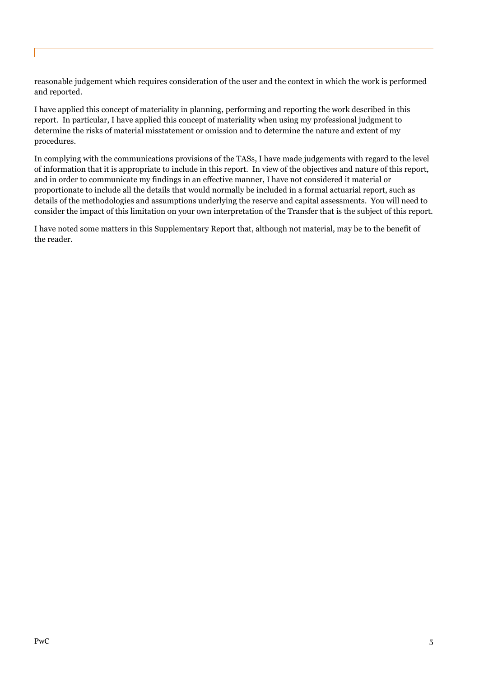reasonable judgement which requires consideration of the user and the context in which the work is performed and reported.

I have applied this concept of materiality in planning, performing and reporting the work described in this report. In particular, I have applied this concept of materiality when using my professional judgment to determine the risks of material misstatement or omission and to determine the nature and extent of my procedures.

In complying with the communications provisions of the TASs, I have made judgements with regard to the level of information that it is appropriate to include in this report. In view of the objectives and nature of this report, and in order to communicate my findings in an effective manner, I have not considered it material or proportionate to include all the details that would normally be included in a formal actuarial report, such as details of the methodologies and assumptions underlying the reserve and capital assessments. You will need to consider the impact of this limitation on your own interpretation of the Transfer that is the subject of this report.

I have noted some matters in this Supplementary Report that, although not material, may be to the benefit of the reader.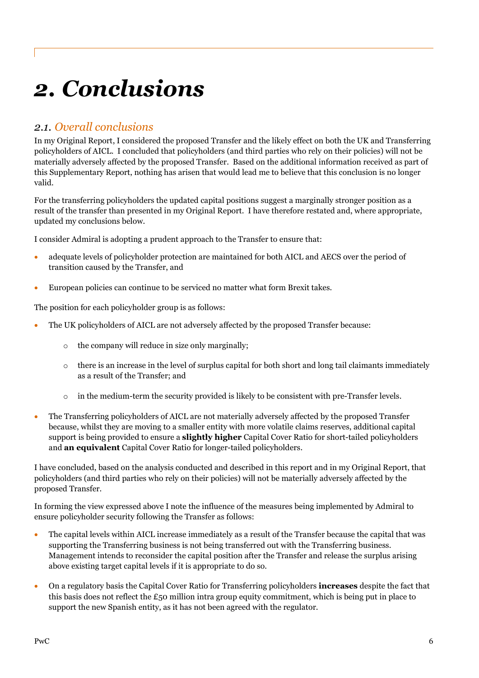# 2. Conclusions

## 2.1. Overall conclusions

In my Original Report, I considered the proposed Transfer and the likely effect on both the UK and Transferring policyholders of AICL. I concluded that policyholders (and third parties who rely on their policies) will not be materially adversely affected by the proposed Transfer. Based on the additional information received as part of this Supplementary Report, nothing has arisen that would lead me to believe that this conclusion is no longer valid.

For the transferring policyholders the updated capital positions suggest a marginally stronger position as a result of the transfer than presented in my Original Report. I have therefore restated and, where appropriate, updated my conclusions below.

I consider Admiral is adopting a prudent approach to the Transfer to ensure that:

- adequate levels of policyholder protection are maintained for both AICL and AECS over the period of transition caused by the Transfer, and
- European policies can continue to be serviced no matter what form Brexit takes.

The position for each policyholder group is as follows:

- The UK policyholders of AICL are not adversely affected by the proposed Transfer because:
	- o the company will reduce in size only marginally;
	- $\circ$  there is an increase in the level of surplus capital for both short and long tail claimants immediately as a result of the Transfer; and
	- $\circ$  in the medium-term the security provided is likely to be consistent with pre-Transfer levels.
- The Transferring policyholders of AICL are not materially adversely affected by the proposed Transfer because, whilst they are moving to a smaller entity with more volatile claims reserves, additional capital support is being provided to ensure a **slightly higher** Capital Cover Ratio for short-tailed policyholders and an equivalent Capital Cover Ratio for longer-tailed policyholders.

I have concluded, based on the analysis conducted and described in this report and in my Original Report, that policyholders (and third parties who rely on their policies) will not be materially adversely affected by the proposed Transfer.

In forming the view expressed above I note the influence of the measures being implemented by Admiral to ensure policyholder security following the Transfer as follows:

- The capital levels within AICL increase immediately as a result of the Transfer because the capital that was supporting the Transferring business is not being transferred out with the Transferring business. Management intends to reconsider the capital position after the Transfer and release the surplus arising above existing target capital levels if it is appropriate to do so.
- On a regulatory basis the Capital Cover Ratio for Transferring policyholders **increases** despite the fact that this basis does not reflect the  $\pounds$ 50 million intra group equity commitment, which is being put in place to support the new Spanish entity, as it has not been agreed with the regulator.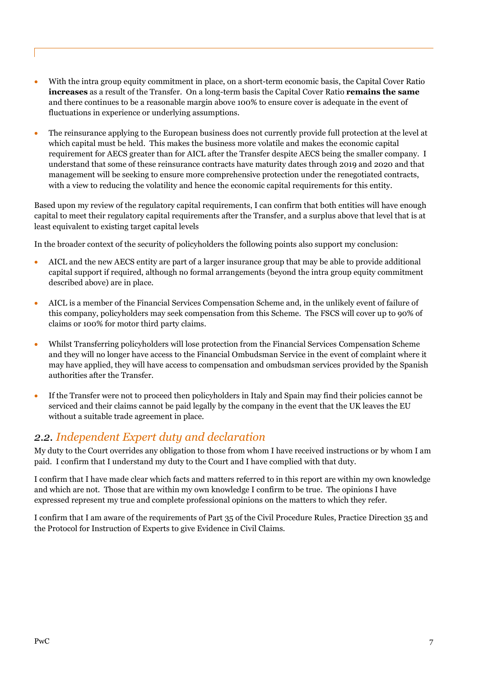- With the intra group equity commitment in place, on a short-term economic basis, the Capital Cover Ratio increases as a result of the Transfer. On a long-term basis the Capital Cover Ratio remains the same and there continues to be a reasonable margin above 100% to ensure cover is adequate in the event of fluctuations in experience or underlying assumptions.
- The reinsurance applying to the European business does not currently provide full protection at the level at which capital must be held. This makes the business more volatile and makes the economic capital requirement for AECS greater than for AICL after the Transfer despite AECS being the smaller company. I understand that some of these reinsurance contracts have maturity dates through 2019 and 2020 and that management will be seeking to ensure more comprehensive protection under the renegotiated contracts, with a view to reducing the volatility and hence the economic capital requirements for this entity.

Based upon my review of the regulatory capital requirements, I can confirm that both entities will have enough capital to meet their regulatory capital requirements after the Transfer, and a surplus above that level that is at least equivalent to existing target capital levels

In the broader context of the security of policyholders the following points also support my conclusion:

- AICL and the new AECS entity are part of a larger insurance group that may be able to provide additional capital support if required, although no formal arrangements (beyond the intra group equity commitment described above) are in place.
- AICL is a member of the Financial Services Compensation Scheme and, in the unlikely event of failure of this company, policyholders may seek compensation from this Scheme. The FSCS will cover up to 90% of claims or 100% for motor third party claims.
- Whilst Transferring policyholders will lose protection from the Financial Services Compensation Scheme and they will no longer have access to the Financial Ombudsman Service in the event of complaint where it may have applied, they will have access to compensation and ombudsman services provided by the Spanish authorities after the Transfer.
- If the Transfer were not to proceed then policyholders in Italy and Spain may find their policies cannot be serviced and their claims cannot be paid legally by the company in the event that the UK leaves the EU without a suitable trade agreement in place.

## 2.2. Independent Expert duty and declaration

My duty to the Court overrides any obligation to those from whom I have received instructions or by whom I am paid. I confirm that I understand my duty to the Court and I have complied with that duty.

I confirm that I have made clear which facts and matters referred to in this report are within my own knowledge and which are not. Those that are within my own knowledge I confirm to be true. The opinions I have expressed represent my true and complete professional opinions on the matters to which they refer.

I confirm that I am aware of the requirements of Part 35 of the Civil Procedure Rules, Practice Direction 35 and the Protocol for Instruction of Experts to give Evidence in Civil Claims.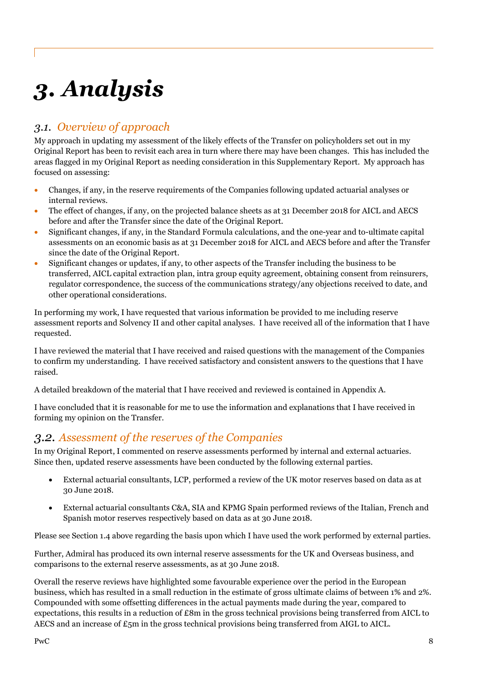# 3. Analysis

# 3.1. Overview of approach

My approach in updating my assessment of the likely effects of the Transfer on policyholders set out in my Original Report has been to revisit each area in turn where there may have been changes. This has included the areas flagged in my Original Report as needing consideration in this Supplementary Report. My approach has focused on assessing:

- Changes, if any, in the reserve requirements of the Companies following updated actuarial analyses or internal reviews.
- The effect of changes, if any, on the projected balance sheets as at 31 December 2018 for AICL and AECS before and after the Transfer since the date of the Original Report.
- Significant changes, if any, in the Standard Formula calculations, and the one-year and to-ultimate capital assessments on an economic basis as at 31 December 2018 for AICL and AECS before and after the Transfer since the date of the Original Report.
- Significant changes or updates, if any, to other aspects of the Transfer including the business to be transferred, AICL capital extraction plan, intra group equity agreement, obtaining consent from reinsurers, regulator correspondence, the success of the communications strategy/any objections received to date, and other operational considerations.

In performing my work, I have requested that various information be provided to me including reserve assessment reports and Solvency II and other capital analyses. I have received all of the information that I have requested.

I have reviewed the material that I have received and raised questions with the management of the Companies to confirm my understanding. I have received satisfactory and consistent answers to the questions that I have raised.

A detailed breakdown of the material that I have received and reviewed is contained in Appendix A.

I have concluded that it is reasonable for me to use the information and explanations that I have received in forming my opinion on the Transfer.

## 3.2. Assessment of the reserves of the Companies

In my Original Report, I commented on reserve assessments performed by internal and external actuaries. Since then, updated reserve assessments have been conducted by the following external parties.

- External actuarial consultants, LCP, performed a review of the UK motor reserves based on data as at 30 June 2018.
- External actuarial consultants C&A, SIA and KPMG Spain performed reviews of the Italian, French and Spanish motor reserves respectively based on data as at 30 June 2018.

Please see Section 1.4 above regarding the basis upon which I have used the work performed by external parties.

Further, Admiral has produced its own internal reserve assessments for the UK and Overseas business, and comparisons to the external reserve assessments, as at 30 June 2018.

Overall the reserve reviews have highlighted some favourable experience over the period in the European business, which has resulted in a small reduction in the estimate of gross ultimate claims of between 1% and 2%. Compounded with some offsetting differences in the actual payments made during the year, compared to expectations, this results in a reduction of £8m in the gross technical provisions being transferred from AICL to AECS and an increase of  $\epsilon$ <sub>5</sub>m in the gross technical provisions being transferred from AIGL to AICL.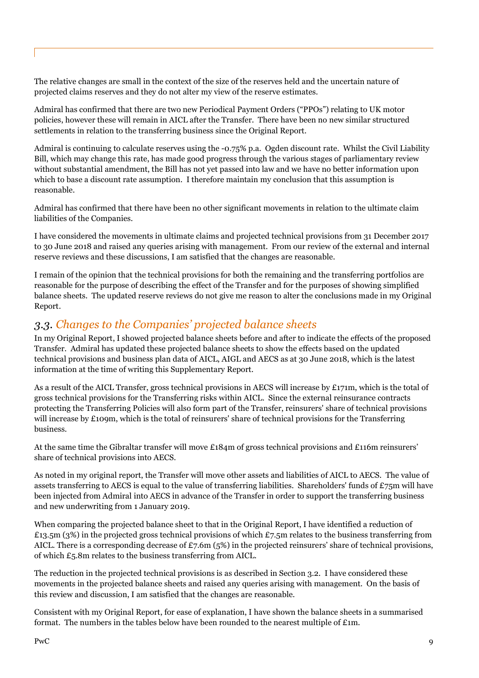The relative changes are small in the context of the size of the reserves held and the uncertain nature of projected claims reserves and they do not alter my view of the reserve estimates.

Admiral has confirmed that there are two new Periodical Payment Orders ("PPOs") relating to UK motor policies, however these will remain in AICL after the Transfer. There have been no new similar structured settlements in relation to the transferring business since the Original Report.

Admiral is continuing to calculate reserves using the -0.75% p.a. Ogden discount rate. Whilst the Civil Liability Bill, which may change this rate, has made good progress through the various stages of parliamentary review without substantial amendment, the Bill has not yet passed into law and we have no better information upon which to base a discount rate assumption. I therefore maintain my conclusion that this assumption is reasonable.

Admiral has confirmed that there have been no other significant movements in relation to the ultimate claim liabilities of the Companies.

I have considered the movements in ultimate claims and projected technical provisions from 31 December 2017 to 30 June 2018 and raised any queries arising with management. From our review of the external and internal reserve reviews and these discussions, I am satisfied that the changes are reasonable.

I remain of the opinion that the technical provisions for both the remaining and the transferring portfolios are reasonable for the purpose of describing the effect of the Transfer and for the purposes of showing simplified balance sheets. The updated reserve reviews do not give me reason to alter the conclusions made in my Original Report.

## 3.3. Changes to the Companies' projected balance sheets

In my Original Report, I showed projected balance sheets before and after to indicate the effects of the proposed Transfer. Admiral has updated these projected balance sheets to show the effects based on the updated technical provisions and business plan data of AICL, AIGL and AECS as at 30 June 2018, which is the latest information at the time of writing this Supplementary Report.

As a result of the AICL Transfer, gross technical provisions in AECS will increase by £171m, which is the total of gross technical provisions for the Transferring risks within AICL. Since the external reinsurance contracts protecting the Transferring Policies will also form part of the Transfer, reinsurers' share of technical provisions will increase by £109m, which is the total of reinsurers' share of technical provisions for the Transferring business.

At the same time the Gibraltar transfer will move £184m of gross technical provisions and £116m reinsurers' share of technical provisions into AECS.

As noted in my original report, the Transfer will move other assets and liabilities of AICL to AECS. The value of assets transferring to AECS is equal to the value of transferring liabilities. Shareholders' funds of  $E75m$  will have been injected from Admiral into AECS in advance of the Transfer in order to support the transferring business and new underwriting from 1 January 2019.

When comparing the projected balance sheet to that in the Original Report, I have identified a reduction of £13.5m (3%) in the projected gross technical provisions of which £7.5m relates to the business transferring from AICL. There is a corresponding decrease of £7.6m (5%) in the projected reinsurers' share of technical provisions, of which £5.8m relates to the business transferring from AICL.

The reduction in the projected technical provisions is as described in Section 3.2. I have considered these movements in the projected balance sheets and raised any queries arising with management. On the basis of this review and discussion, I am satisfied that the changes are reasonable.

Consistent with my Original Report, for ease of explanation, I have shown the balance sheets in a summarised format. The numbers in the tables below have been rounded to the nearest multiple of  $£1m$ .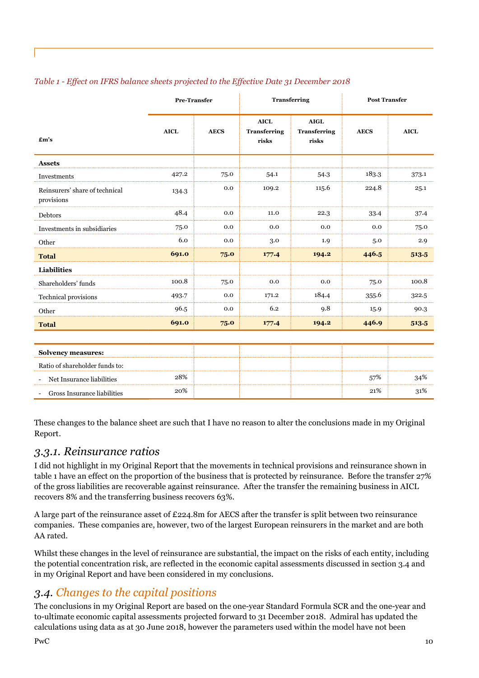|                                              | <b>Pre-Transfer</b> |             | <b>Transferring</b>                         |                                             | <b>Post Transfer</b> |             |
|----------------------------------------------|---------------------|-------------|---------------------------------------------|---------------------------------------------|----------------------|-------------|
| $\mathbf{f}$ m's                             | <b>AICL</b>         | <b>AECS</b> | <b>AICL</b><br><b>Transferring</b><br>risks | <b>AIGL</b><br><b>Transferring</b><br>risks | <b>AECS</b>          | <b>AICL</b> |
| <b>Assets</b>                                |                     |             |                                             |                                             |                      |             |
| Investments                                  | 427.2               | 75.0        | 54.1                                        | 54.3                                        | 183.3                | 373.1       |
| Reinsurers' share of technical<br>provisions | 134.3               | 0.0         | 109.2                                       | 115.6                                       | 224.8                | 25.1        |
| Debtors                                      | 48.4                | 0.0         | 11.0                                        | 22.3                                        | 33.4                 | 37.4        |
| Investments in subsidiaries                  | 75.0                | 0.0         | 0.0                                         | 0.0                                         | 0.0                  | 75.0        |
| Other                                        | 6.0                 | 0.0         | 3.0                                         | 1.9                                         | 5.0                  | 2.9         |
| <b>Total</b>                                 | 691.0               | 75.0        | 177.4                                       | 194.2                                       | 446.5                | 513.5       |
| <b>Liabilities</b>                           |                     |             |                                             |                                             |                      |             |
| Shareholders' funds                          | 100.8               | 75.0        | 0.0                                         | 0.0                                         | 75.0                 | 100.8       |
| Technical provisions                         | 493.7               | 0.0         | 171.2                                       | 184.4                                       | 355.6                | 322.5       |
| Other                                        | 96.5                | 0.0         | 6.2                                         | 9.8                                         | 15.9                 | 90.3        |
| <b>Total</b>                                 | 691.0               | 75.0        | 177.4                                       | 194.2                                       | 446.9                | 513.5       |

#### Table 1 - Effect on IFRS balance sheets projected to the Effective Date 31 December 2018

| <b>Solvency measures:</b>            |  |     |     |
|--------------------------------------|--|-----|-----|
| Ratio of shareholder funds to:       |  |     |     |
| 28%<br>- Net Insurance liabilities   |  | 57% | 34% |
| 20%<br>- Gross Insurance liabilities |  | 21% | 31% |

These changes to the balance sheet are such that I have no reason to alter the conclusions made in my Original Report.

#### 3.3.1. Reinsurance ratios

I did not highlight in my Original Report that the movements in technical provisions and reinsurance shown in table 1 have an effect on the proportion of the business that is protected by reinsurance. Before the transfer 27% of the gross liabilities are recoverable against reinsurance. After the transfer the remaining business in AICL recovers 8% and the transferring business recovers 63%.

A large part of the reinsurance asset of £224.8m for AECS after the transfer is split between two reinsurance companies. These companies are, however, two of the largest European reinsurers in the market and are both AA rated.

Whilst these changes in the level of reinsurance are substantial, the impact on the risks of each entity, including the potential concentration risk, are reflected in the economic capital assessments discussed in section 3.4 and in my Original Report and have been considered in my conclusions.

## 3.4. Changes to the capital positions

The conclusions in my Original Report are based on the one-year Standard Formula SCR and the one-year and to-ultimate economic capital assessments projected forward to 31 December 2018. Admiral has updated the calculations using data as at 30 June 2018, however the parameters used within the model have not been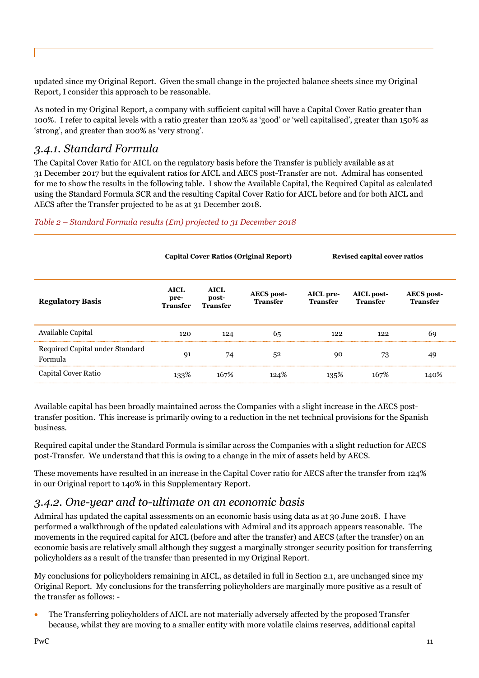updated since my Original Report. Given the small change in the projected balance sheets since my Original Report, I consider this approach to be reasonable.

As noted in my Original Report, a company with sufficient capital will have a Capital Cover Ratio greater than 100%. I refer to capital levels with a ratio greater than 120% as 'good' or 'well capitalised', greater than 150% as 'strong', and greater than 200% as 'very strong'.

## 3.4.1. Standard Formula

The Capital Cover Ratio for AICL on the regulatory basis before the Transfer is publicly available as at 31 December 2017 but the equivalent ratios for AICL and AECS post-Transfer are not. Admiral has consented for me to show the results in the following table. I show the Available Capital, the Required Capital as calculated using the Standard Formula SCR and the resulting Capital Cover Ratio for AICL before and for both AICL and AECS after the Transfer projected to be as at 31 December 2018.

Table 2 – Standard Formula results  $(Em)$  projected to 31 December 2018

|                                            | <b>Capital Cover Ratios (Original Report)</b> |                                         |                                      | <b>Revised capital cover ratios</b> |                               |                                      |  |
|--------------------------------------------|-----------------------------------------------|-----------------------------------------|--------------------------------------|-------------------------------------|-------------------------------|--------------------------------------|--|
| <b>Regulatory Basis</b>                    | <b>AICL</b><br>pre-<br><b>Transfer</b>        | <b>AICL</b><br>post-<br><b>Transfer</b> | <b>AECS</b> post-<br><b>Transfer</b> | AICL pre-<br><b>Transfer</b>        | AICL post-<br><b>Transfer</b> | <b>AECS</b> post-<br><b>Transfer</b> |  |
| Available Capital                          | 120                                           | 124                                     | 65                                   | 122                                 | 122                           | 69                                   |  |
| Required Capital under Standard<br>Formula | 91                                            | 74                                      | 52                                   | 90                                  | 73                            | 49                                   |  |
| Capital Cover Ratio                        | 133%                                          | 167%                                    | 124%                                 | 135%                                | 167%                          | 140%                                 |  |

Available capital has been broadly maintained across the Companies with a slight increase in the AECS posttransfer position. This increase is primarily owing to a reduction in the net technical provisions for the Spanish business.

Required capital under the Standard Formula is similar across the Companies with a slight reduction for AECS post-Transfer. We understand that this is owing to a change in the mix of assets held by AECS.

These movements have resulted in an increase in the Capital Cover ratio for AECS after the transfer from 124% in our Original report to 140% in this Supplementary Report.

## 3.4.2. One-year and to-ultimate on an economic basis

Admiral has updated the capital assessments on an economic basis using data as at 30 June 2018. I have performed a walkthrough of the updated calculations with Admiral and its approach appears reasonable. The movements in the required capital for AICL (before and after the transfer) and AECS (after the transfer) on an economic basis are relatively small although they suggest a marginally stronger security position for transferring policyholders as a result of the transfer than presented in my Original Report.

My conclusions for policyholders remaining in AICL, as detailed in full in Section 2.1, are unchanged since my Original Report. My conclusions for the transferring policyholders are marginally more positive as a result of the transfer as follows: -

 The Transferring policyholders of AICL are not materially adversely affected by the proposed Transfer because, whilst they are moving to a smaller entity with more volatile claims reserves, additional capital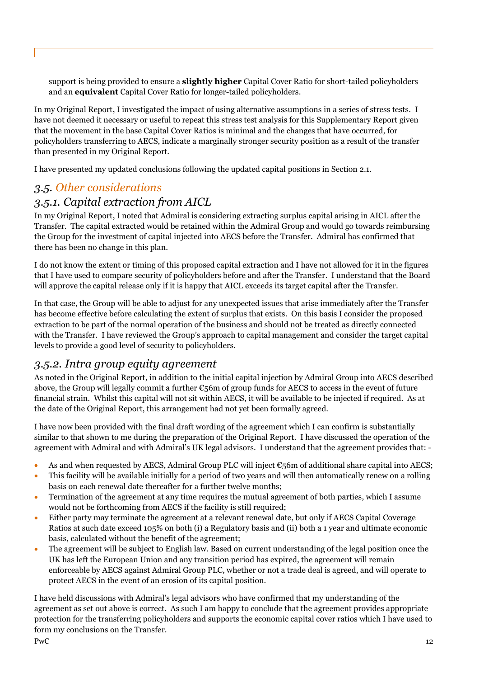support is being provided to ensure a **slightly higher** Capital Cover Ratio for short-tailed policyholders and an equivalent Capital Cover Ratio for longer-tailed policyholders.

In my Original Report, I investigated the impact of using alternative assumptions in a series of stress tests. I have not deemed it necessary or useful to repeat this stress test analysis for this Supplementary Report given that the movement in the base Capital Cover Ratios is minimal and the changes that have occurred, for policyholders transferring to AECS, indicate a marginally stronger security position as a result of the transfer than presented in my Original Report.

I have presented my updated conclusions following the updated capital positions in Section 2.1.

# 3.5. Other considerations

### 3.5.1. Capital extraction from AICL

In my Original Report, I noted that Admiral is considering extracting surplus capital arising in AICL after the Transfer. The capital extracted would be retained within the Admiral Group and would go towards reimbursing the Group for the investment of capital injected into AECS before the Transfer. Admiral has confirmed that there has been no change in this plan.

I do not know the extent or timing of this proposed capital extraction and I have not allowed for it in the figures that I have used to compare security of policyholders before and after the Transfer. I understand that the Board will approve the capital release only if it is happy that AICL exceeds its target capital after the Transfer.

In that case, the Group will be able to adjust for any unexpected issues that arise immediately after the Transfer has become effective before calculating the extent of surplus that exists. On this basis I consider the proposed extraction to be part of the normal operation of the business and should not be treated as directly connected with the Transfer. I have reviewed the Group's approach to capital management and consider the target capital levels to provide a good level of security to policyholders.

### 3.5.2. Intra group equity agreement

As noted in the Original Report, in addition to the initial capital injection by Admiral Group into AECS described above, the Group will legally commit a further  $\epsilon_5$ 6m of group funds for AECS to access in the event of future financial strain. Whilst this capital will not sit within AECS, it will be available to be injected if required. As at the date of the Original Report, this arrangement had not yet been formally agreed.

I have now been provided with the final draft wording of the agreement which I can confirm is substantially similar to that shown to me during the preparation of the Original Report. I have discussed the operation of the agreement with Admiral and with Admiral's UK legal advisors. I understand that the agreement provides that: -

- As and when requested by AECS, Admiral Group PLC will inject  $\epsilon$ 56m of additional share capital into AECS;
- This facility will be available initially for a period of two years and will then automatically renew on a rolling basis on each renewal date thereafter for a further twelve months;
- Termination of the agreement at any time requires the mutual agreement of both parties, which I assume would not be forthcoming from AECS if the facility is still required;
- Either party may terminate the agreement at a relevant renewal date, but only if AECS Capital Coverage Ratios at such date exceed 105% on both (i) a Regulatory basis and (ii) both a 1 year and ultimate economic basis, calculated without the benefit of the agreement;
- The agreement will be subject to English law. Based on current understanding of the legal position once the UK has left the European Union and any transition period has expired, the agreement will remain enforceable by AECS against Admiral Group PLC, whether or not a trade deal is agreed, and will operate to protect AECS in the event of an erosion of its capital position.

I have held discussions with Admiral's legal advisors who have confirmed that my understanding of the agreement as set out above is correct. As such I am happy to conclude that the agreement provides appropriate protection for the transferring policyholders and supports the economic capital cover ratios which I have used to form my conclusions on the Transfer.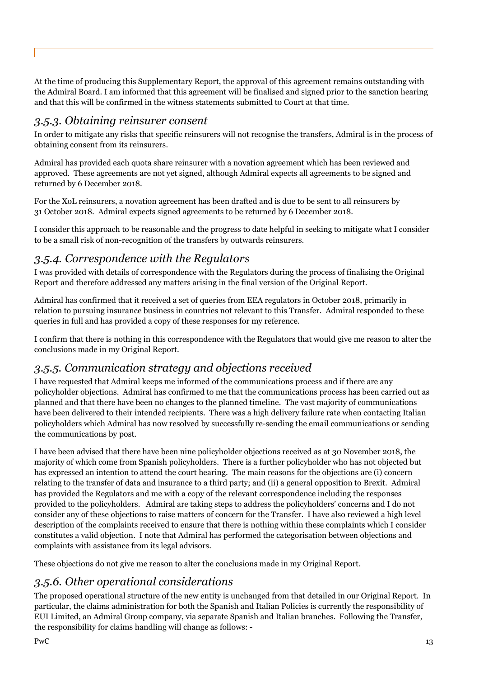At the time of producing this Supplementary Report, the approval of this agreement remains outstanding with the Admiral Board. I am informed that this agreement will be finalised and signed prior to the sanction hearing and that this will be confirmed in the witness statements submitted to Court at that time.

# 3.5.3. Obtaining reinsurer consent

In order to mitigate any risks that specific reinsurers will not recognise the transfers, Admiral is in the process of obtaining consent from its reinsurers.

Admiral has provided each quota share reinsurer with a novation agreement which has been reviewed and approved. These agreements are not yet signed, although Admiral expects all agreements to be signed and returned by 6 December 2018.

For the XoL reinsurers, a novation agreement has been drafted and is due to be sent to all reinsurers by 31 October 2018. Admiral expects signed agreements to be returned by 6 December 2018.

I consider this approach to be reasonable and the progress to date helpful in seeking to mitigate what I consider to be a small risk of non-recognition of the transfers by outwards reinsurers.

# 3.5.4. Correspondence with the Regulators

I was provided with details of correspondence with the Regulators during the process of finalising the Original Report and therefore addressed any matters arising in the final version of the Original Report.

Admiral has confirmed that it received a set of queries from EEA regulators in October 2018, primarily in relation to pursuing insurance business in countries not relevant to this Transfer. Admiral responded to these queries in full and has provided a copy of these responses for my reference.

I confirm that there is nothing in this correspondence with the Regulators that would give me reason to alter the conclusions made in my Original Report.

# 3.5.5. Communication strategy and objections received

I have requested that Admiral keeps me informed of the communications process and if there are any policyholder objections. Admiral has confirmed to me that the communications process has been carried out as planned and that there have been no changes to the planned timeline. The vast majority of communications have been delivered to their intended recipients. There was a high delivery failure rate when contacting Italian policyholders which Admiral has now resolved by successfully re-sending the email communications or sending the communications by post.

I have been advised that there have been nine policyholder objections received as at 30 November 2018, the majority of which come from Spanish policyholders. There is a further policyholder who has not objected but has expressed an intention to attend the court hearing. The main reasons for the objections are (i) concern relating to the transfer of data and insurance to a third party; and (ii) a general opposition to Brexit. Admiral has provided the Regulators and me with a copy of the relevant correspondence including the responses provided to the policyholders. Admiral are taking steps to address the policyholders' concerns and I do not consider any of these objections to raise matters of concern for the Transfer. I have also reviewed a high level description of the complaints received to ensure that there is nothing within these complaints which I consider constitutes a valid objection. I note that Admiral has performed the categorisation between objections and complaints with assistance from its legal advisors.

These objections do not give me reason to alter the conclusions made in my Original Report.

# 3.5.6. Other operational considerations

The proposed operational structure of the new entity is unchanged from that detailed in our Original Report. In particular, the claims administration for both the Spanish and Italian Policies is currently the responsibility of EUI Limited, an Admiral Group company, via separate Spanish and Italian branches. Following the Transfer, the responsibility for claims handling will change as follows: -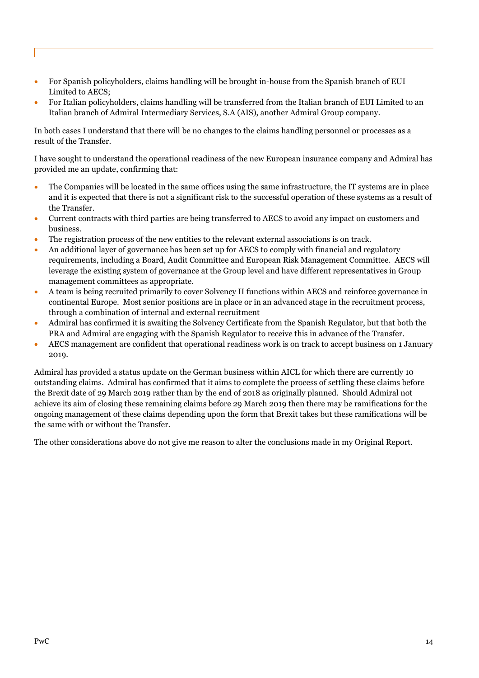- For Spanish policyholders, claims handling will be brought in-house from the Spanish branch of EUI Limited to AECS;
- For Italian policyholders, claims handling will be transferred from the Italian branch of EUI Limited to an Italian branch of Admiral Intermediary Services, S.A (AIS), another Admiral Group company.

In both cases I understand that there will be no changes to the claims handling personnel or processes as a result of the Transfer.

I have sought to understand the operational readiness of the new European insurance company and Admiral has provided me an update, confirming that:

- The Companies will be located in the same offices using the same infrastructure, the IT systems are in place and it is expected that there is not a significant risk to the successful operation of these systems as a result of the Transfer.
- Current contracts with third parties are being transferred to AECS to avoid any impact on customers and business.
- The registration process of the new entities to the relevant external associations is on track.
- An additional layer of governance has been set up for AECS to comply with financial and regulatory requirements, including a Board, Audit Committee and European Risk Management Committee. AECS will leverage the existing system of governance at the Group level and have different representatives in Group management committees as appropriate.
- A team is being recruited primarily to cover Solvency II functions within AECS and reinforce governance in continental Europe. Most senior positions are in place or in an advanced stage in the recruitment process, through a combination of internal and external recruitment
- Admiral has confirmed it is awaiting the Solvency Certificate from the Spanish Regulator, but that both the PRA and Admiral are engaging with the Spanish Regulator to receive this in advance of the Transfer.
- AECS management are confident that operational readiness work is on track to accept business on 1 January 2019.

Admiral has provided a status update on the German business within AICL for which there are currently 10 outstanding claims. Admiral has confirmed that it aims to complete the process of settling these claims before the Brexit date of 29 March 2019 rather than by the end of 2018 as originally planned. Should Admiral not achieve its aim of closing these remaining claims before 29 March 2019 then there may be ramifications for the ongoing management of these claims depending upon the form that Brexit takes but these ramifications will be the same with or without the Transfer.

The other considerations above do not give me reason to alter the conclusions made in my Original Report.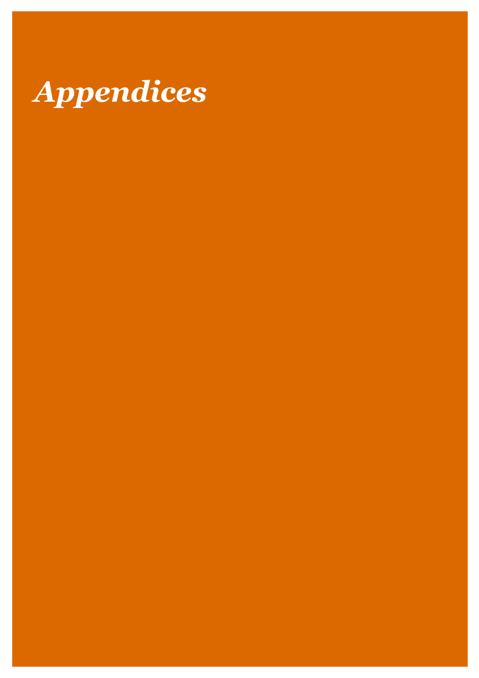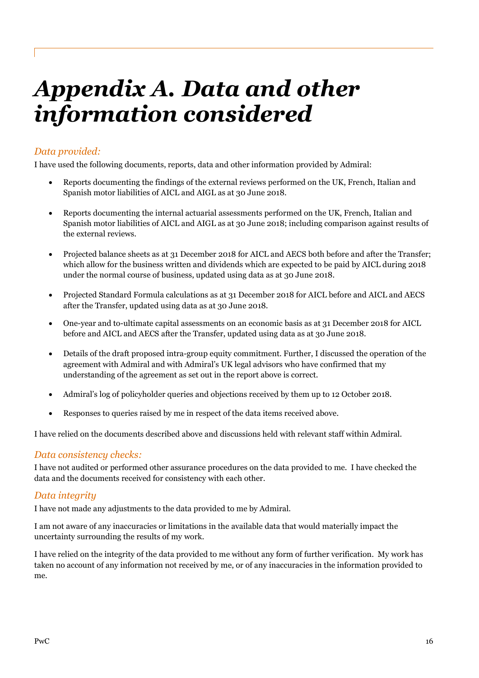# Appendix A. Data and other information considered

### Data provided:

I have used the following documents, reports, data and other information provided by Admiral:

- Reports documenting the findings of the external reviews performed on the UK, French, Italian and Spanish motor liabilities of AICL and AIGL as at 30 June 2018.
- Reports documenting the internal actuarial assessments performed on the UK, French, Italian and Spanish motor liabilities of AICL and AIGL as at 30 June 2018; including comparison against results of the external reviews.
- Projected balance sheets as at 31 December 2018 for AICL and AECS both before and after the Transfer; which allow for the business written and dividends which are expected to be paid by AICL during 2018 under the normal course of business, updated using data as at 30 June 2018.
- Projected Standard Formula calculations as at 31 December 2018 for AICL before and AICL and AECS after the Transfer, updated using data as at 30 June 2018.
- One-year and to-ultimate capital assessments on an economic basis as at 31 December 2018 for AICL before and AICL and AECS after the Transfer, updated using data as at 30 June 2018.
- Details of the draft proposed intra-group equity commitment. Further, I discussed the operation of the agreement with Admiral and with Admiral's UK legal advisors who have confirmed that my understanding of the agreement as set out in the report above is correct.
- Admiral's log of policyholder queries and objections received by them up to 12 October 2018.
- Responses to queries raised by me in respect of the data items received above.

I have relied on the documents described above and discussions held with relevant staff within Admiral.

#### Data consistency checks:

I have not audited or performed other assurance procedures on the data provided to me. I have checked the data and the documents received for consistency with each other.

#### Data integrity

I have not made any adjustments to the data provided to me by Admiral.

I am not aware of any inaccuracies or limitations in the available data that would materially impact the uncertainty surrounding the results of my work.

I have relied on the integrity of the data provided to me without any form of further verification. My work has taken no account of any information not received by me, or of any inaccuracies in the information provided to me.